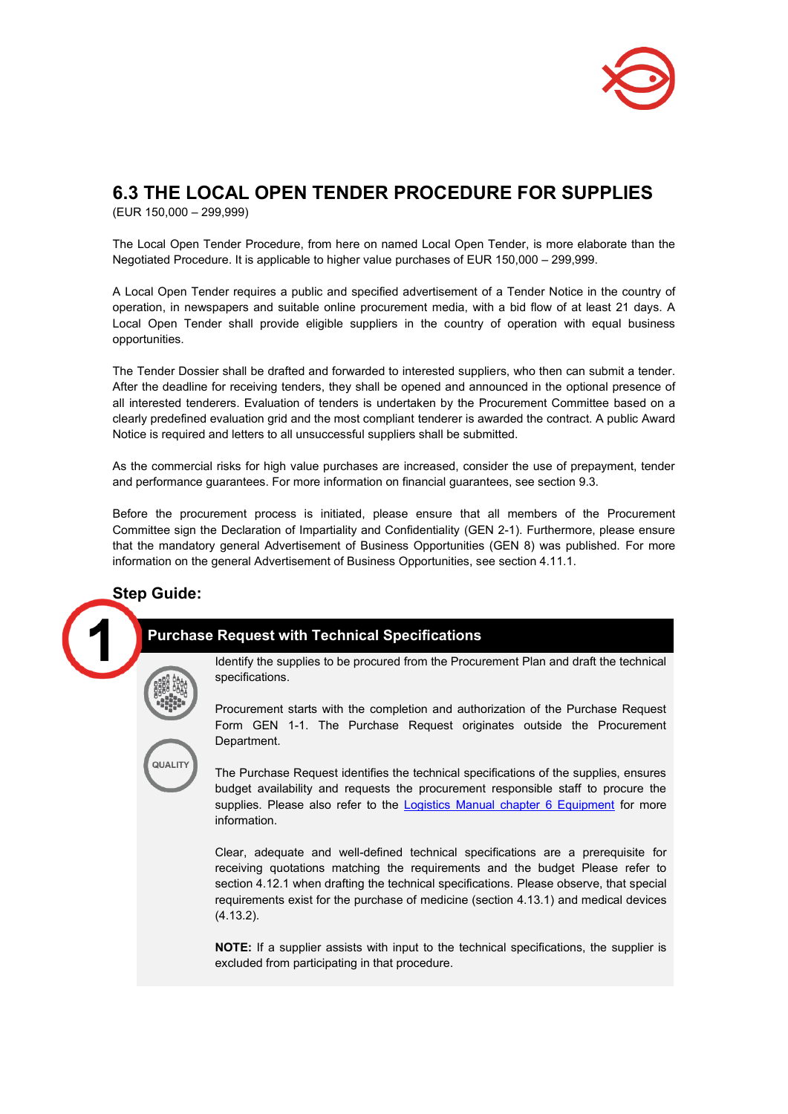

# **6.3 THE LOCAL OPEN TENDER PROCEDURE FOR SUPPLIES**

(EUR 150,000 – 299,999)

The Local Open Tender Procedure, from here on named Local Open Tender, is more elaborate than the Negotiated Procedure. It is applicable to higher value purchases of EUR 150,000 – 299,999.

A Local Open Tender requires a public and specified advertisement of a Tender Notice in the country of operation, in newspapers and suitable online procurement media, with a bid flow of at least 21 days. A Local Open Tender shall provide eligible suppliers in the country of operation with equal business opportunities.

The Tender Dossier shall be drafted and forwarded to interested suppliers, who then can submit a tender. After the deadline for receiving tenders, they shall be opened and announced in the optional presence of all interested tenderers. Evaluation of tenders is undertaken by the Procurement Committee based on a clearly predefined evaluation grid and the most compliant tenderer is awarded the contract. A public Award Notice is required and letters to all unsuccessful suppliers shall be submitted.

As the commercial risks for high value purchases are increased, consider the use of prepayment, tender and performance guarantees. For more information on financial guarantees, see section 9.3.

Before the procurement process is initiated, please ensure that all members of the Procurement Committee sign the Declaration of Impartiality and Confidentiality (GEN 2-1). Furthermore, please ensure that the mandatory general Advertisement of Business Opportunities (GEN 8) was published. For more information on the general Advertisement of Business Opportunities, see section 4.11.1.

## **Step Guide:**

## **Purchase Request with Technical Specifications**



Identify the supplies to be procured from the Procurement Plan and draft the technical specifications.

Procurement starts with the completion and authorization of the Purchase Request Form GEN 1-1. The Purchase Request originates outside the Procurement Department.

**UALITY** 

The Purchase Request identifies the technical specifications of the supplies, ensures budget availability and requests the procurement responsible staff to procure the supplies. Please also refer to the [Logistics Manual chapter 6 Equipment](https://www.danchurchaid.org/how-we-work/quality-assurance/procurement-and-logistics/manuals-and-guidelines) for more information.

Clear, adequate and well-defined technical specifications are a prerequisite for receiving quotations matching the requirements and the budget Please refer to section 4.12.1 when drafting the technical specifications. Please observe, that special requirements exist for the purchase of medicine (section 4.13.1) and medical devices (4.13.2).

**NOTE:** If a supplier assists with input to the technical specifications, the supplier is excluded from participating in that procedure.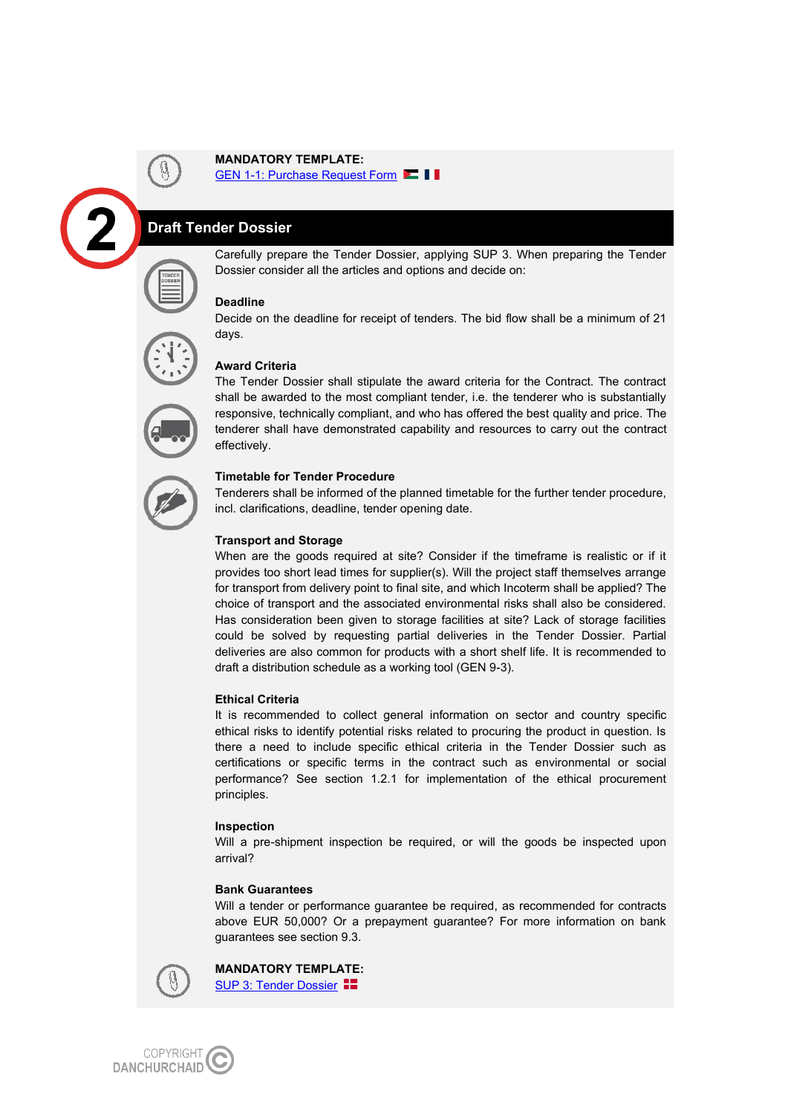### **MANDATORY TEMPLATE:**

GEN 1-1: Purchase Request Form

## **Draft Tender Dossier**







Carefully prepare the Tender Dossier, applying SUP 3. When preparing the Tender Dossier consider all the articles and options and decide on:

#### **Deadline**

Decide on the deadline for receipt of tenders. The bid flow shall be a minimum of 21 days.

### **Award Criteria**

The Tender Dossier shall stipulate the award criteria for the Contract. The contract shall be awarded to the most compliant tender, i.e. the tenderer who is substantially responsive, technically compliant, and who has offered the best quality and price. The tenderer shall have demonstrated capability and resources to carry out the contract effectively.

#### **Timetable for Tender Procedure**

Tenderers shall be informed of the planned timetable for the further tender procedure, incl. clarifications, deadline, tender opening date.

#### **Transport and Storage**

When are the goods required at site? Consider if the timeframe is realistic or if it provides too short lead times for supplier(s). Will the project staff themselves arrange for transport from delivery point to final site, and which Incoterm shall be applied? The choice of transport and the associated environmental risks shall also be considered. Has consideration been given to storage facilities at site? Lack of storage facilities could be solved by requesting partial deliveries in the Tender Dossier. Partial deliveries are also common for products with a short shelf life. It is recommended to draft a distribution schedule as a working tool (GEN 9-3).

#### **Ethical Criteria**

It is recommended to collect general information on sector and country specific ethical risks to identify potential risks related to procuring the product in question. Is there a need to include specific ethical criteria in the Tender Dossier such as certifications or specific terms in the contract such as environmental or social performance? See section 1.2.1 for implementation of the ethical procurement principles.

#### **Inspection**

Will a pre-shipment inspection be required, or will the goods be inspected upon arrival?

#### **Bank Guarantees**

Will a tender or performance guarantee be required, as recommended for contracts above EUR 50,000? Or a prepayment guarantee? For more information on bank guarantees see section 9.3.



**MANDATORY TEMPLATE:** [SUP 3: Tender Dossier](https://www.noedhjaelp.dk/wp-content/uploads/sites/2/2021/11/sup-3-tender-dossier-july2021.doc) 

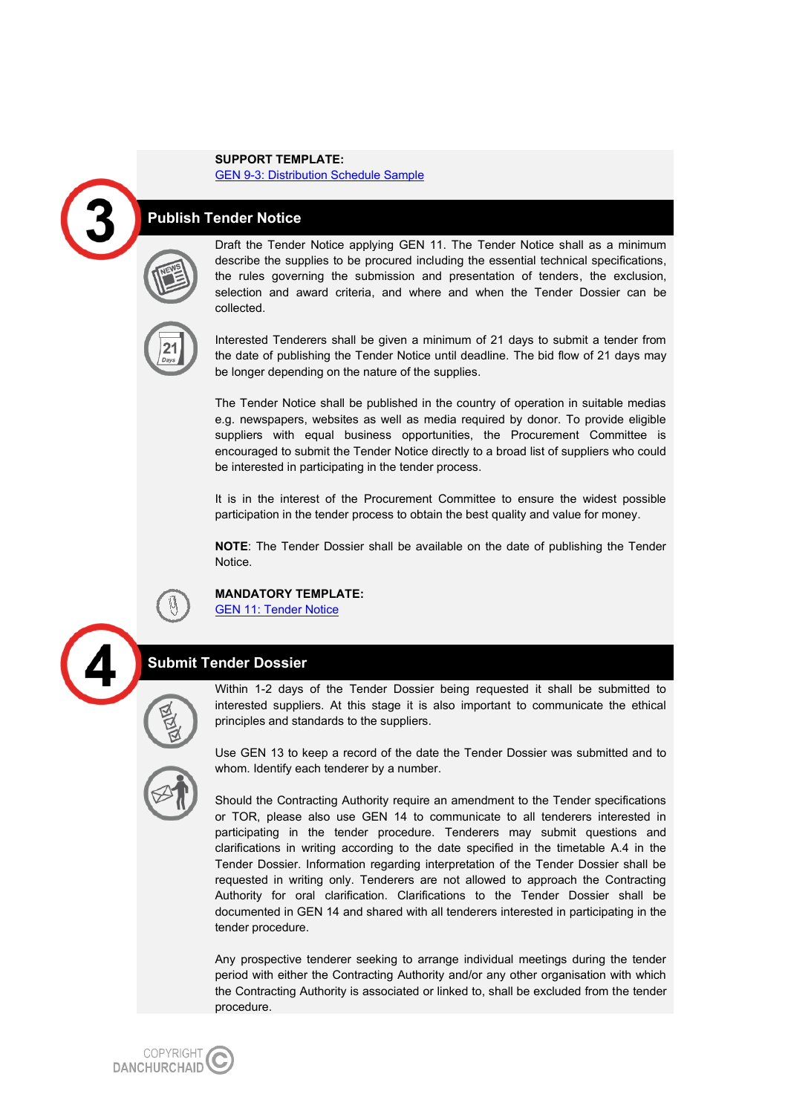#### **SUPPORT TEMPLATE:**

[GEN 9-3: Distribution Schedule Sample](https://www.noedhjaelp.dk/wp-content/uploads/sites/2/2021/11/gen-9-3-distribution-schedule-example-jan2020.docx)

### **Publish Tender Notice**



Draft the Tender Notice applying GEN 11. The Tender Notice shall as a minimum describe the supplies to be procured including the essential technical specifications, the rules governing the submission and presentation of tenders, the exclusion, selection and award criteria, and where and when the Tender Dossier can be collected.



Interested Tenderers shall be given a minimum of 21 days to submit a tender from the date of publishing the Tender Notice until deadline. The bid flow of 21 days may be longer depending on the nature of the supplies.

The Tender Notice shall be published in the country of operation in suitable medias e.g. newspapers, websites as well as media required by donor. To provide eligible suppliers with equal business opportunities, the Procurement Committee is encouraged to submit the Tender Notice directly to a broad list of suppliers who could be interested in participating in the tender process.

It is in the interest of the Procurement Committee to ensure the widest possible participation in the tender process to obtain the best quality and value for money.

**NOTE**: The Tender Dossier shall be available on the date of publishing the Tender Notice.



### **MANDATORY TEMPLATE:**

[GEN 11: Tender Notice](https://www.noedhjaelp.dk/wp-content/uploads/sites/2/2021/11/gen-11-tender-notice-jan2020.docx)



### **Submit Tender Dossier**

Within 1-2 days of the Tender Dossier being requested it shall be submitted to interested suppliers. At this stage it is also important to communicate the ethical principles and standards to the suppliers.



Use GEN 13 to keep a record of the date the Tender Dossier was submitted and to whom. Identify each tenderer by a number.

Should the Contracting Authority require an amendment to the Tender specifications or TOR, please also use GEN 14 to communicate to all tenderers interested in participating in the tender procedure. Tenderers may submit questions and clarifications in writing according to the date specified in the timetable A.4 in the Tender Dossier. Information regarding interpretation of the Tender Dossier shall be requested in writing only. Tenderers are not allowed to approach the Contracting Authority for oral clarification. Clarifications to the Tender Dossier shall be documented in GEN 14 and shared with all tenderers interested in participating in the tender procedure.

Any prospective tenderer seeking to arrange individual meetings during the tender period with either the Contracting Authority and/or any other organisation with which the Contracting Authority is associated or linked to, shall be excluded from the tender procedure.

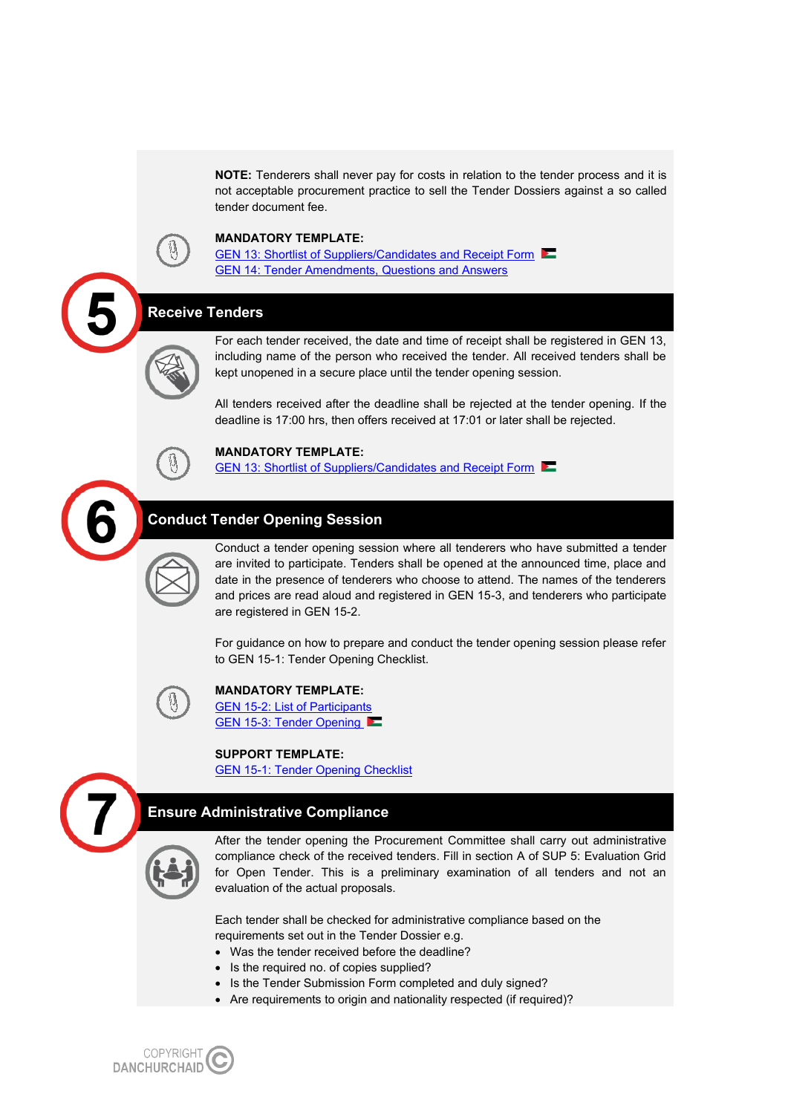**NOTE:** Tenderers shall never pay for costs in relation to the tender process and it is not acceptable procurement practice to sell the Tender Dossiers against a so called tender document fee.



### **MANDATORY TEMPLATE:**

GEN 13: Shortlist of Suppliers/Candidates and Receipt Form [GEN 14: Tender Amendments, Questions and Answers](https://www.noedhjaelp.dk/wp-content/uploads/sites/2/2021/11/gen-14-tender-amendments-questions-and-answers-jan2020.docx)

#### **Receive Tenders**

For each tender received, the date and time of receipt shall be registered in GEN 13, including name of the person who received the tender. All received tenders shall be kept unopened in a secure place until the tender opening session.

All tenders received after the deadline shall be rejected at the tender opening. If the deadline is 17:00 hrs, then offers received at 17:01 or later shall be rejected.



### **MANDATORY TEMPLATE:**

[GEN 13: Shortlist of Suppliers/Candidates and Receipt Form](https://www.noedhjaelp.dk/wp-content/uploads/sites/2/2021/11/gen-13-shortlist-of-suppliers-candidates-and-receipt-form-jan2020.docx) 

## **Conduct Tender Opening Session**

Conduct a tender opening session where all tenderers who have submitted a tender are invited to participate. Tenders shall be opened at the announced time, place and date in the presence of tenderers who choose to attend. The names of the tenderers and prices are read aloud and registered in GEN 15-3, and tenderers who participate are registered in GEN 15-2.

For guidance on how to prepare and conduct the tender opening session please refer to GEN 15-1: Tender Opening Checklist.



### **MANDATORY TEMPLATE:**

[GEN 15-2: List of Participants](https://www.noedhjaelp.dk/wp-content/uploads/sites/2/2021/11/gen-15-2-list-of-participants-jan2020.docx) [GEN 15-3: Tender Opening](https://www.noedhjaelp.dk/wp-content/uploads/sites/2/2021/11/gen-15-3-tender-opening-jan2020.docx)

#### **SUPPORT TEMPLATE:**

[GEN 15-1: Tender Opening Checklist](https://www.noedhjaelp.dk/wp-content/uploads/sites/2/2021/11/gen-15-1-tender-opening-checklist-jan2020.docx)

## **Ensure Administrative Compliance**



After the tender opening the Procurement Committee shall carry out administrative compliance check of the received tenders. Fill in section A of SUP 5: Evaluation Grid for Open Tender. This is a preliminary examination of all tenders and not an evaluation of the actual proposals.

Each tender shall be checked for administrative compliance based on the requirements set out in the Tender Dossier e.g.

- Was the tender received before the deadline?
- Is the required no. of copies supplied?
- Is the Tender Submission Form completed and duly signed?
- Are requirements to origin and nationality respected (if required)?

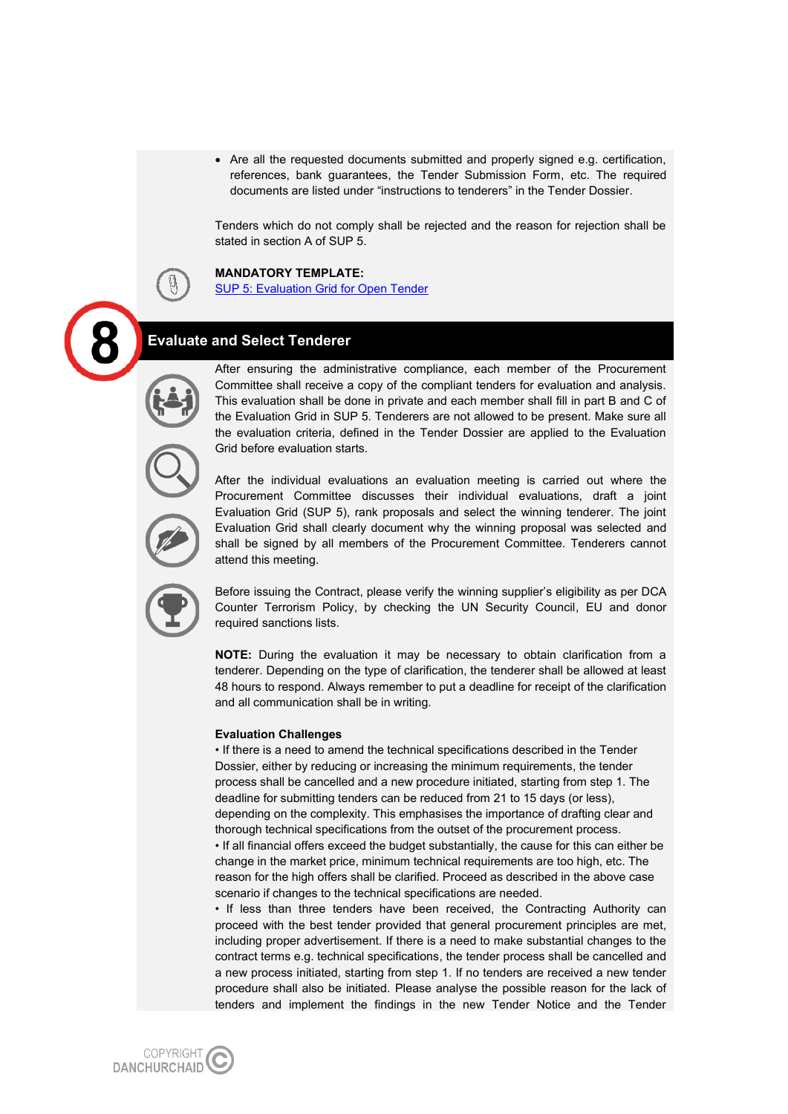• Are all the requested documents submitted and properly signed e.g. certification, references, bank guarantees, the Tender Submission Form, etc. The required documents are listed under "instructions to tenderers" in the Tender Dossier.

Tenders which do not comply shall be rejected and the reason for rejection shall be stated in section A of SUP 5.



[SUP 5: Evaluation Grid for Open Tender](https://www.noedhjaelp.dk/wp-content/uploads/sites/2/2021/11/sup-5-evaluation-grid-open-tender-jan2020.xlsx)

## **Evaluate and Select Tenderer**

After ensuring the administrative compliance, each member of the Procurement Committee shall receive a copy of the compliant tenders for evaluation and analysis. This evaluation shall be done in private and each member shall fill in part B and C of the Evaluation Grid in SUP 5. Tenderers are not allowed to be present. Make sure all the evaluation criteria, defined in the Tender Dossier are applied to the Evaluation Grid before evaluation starts.



After the individual evaluations an evaluation meeting is carried out where the Procurement Committee discusses their individual evaluations, draft a joint Evaluation Grid (SUP 5), rank proposals and select the winning tenderer. The joint Evaluation Grid shall clearly document why the winning proposal was selected and shall be signed by all members of the Procurement Committee. Tenderers cannot attend this meeting.

Before issuing the Contract, please verify the winning supplier's eligibility as per DCA Counter Terrorism Policy, by checking the UN Security Council, EU and donor required sanctions lists.

**NOTE:** During the evaluation it may be necessary to obtain clarification from a tenderer. Depending on the type of clarification, the tenderer shall be allowed at least 48 hours to respond. Always remember to put a deadline for receipt of the clarification and all communication shall be in writing.

#### **Evaluation Challenges**

• If there is a need to amend the technical specifications described in the Tender Dossier, either by reducing or increasing the minimum requirements, the tender process shall be cancelled and a new procedure initiated, starting from step 1. The deadline for submitting tenders can be reduced from 21 to 15 days (or less), depending on the complexity. This emphasises the importance of drafting clear and thorough technical specifications from the outset of the procurement process.

• If all financial offers exceed the budget substantially, the cause for this can either be change in the market price, minimum technical requirements are too high, etc. The reason for the high offers shall be clarified. Proceed as described in the above case scenario if changes to the technical specifications are needed.

• If less than three tenders have been received, the Contracting Authority can proceed with the best tender provided that general procurement principles are met, including proper advertisement. If there is a need to make substantial changes to the contract terms e.g. technical specifications, the tender process shall be cancelled and a new process initiated, starting from step 1. If no tenders are received a new tender procedure shall also be initiated. Please analyse the possible reason for the lack of tenders and implement the findings in the new Tender Notice and the Tender

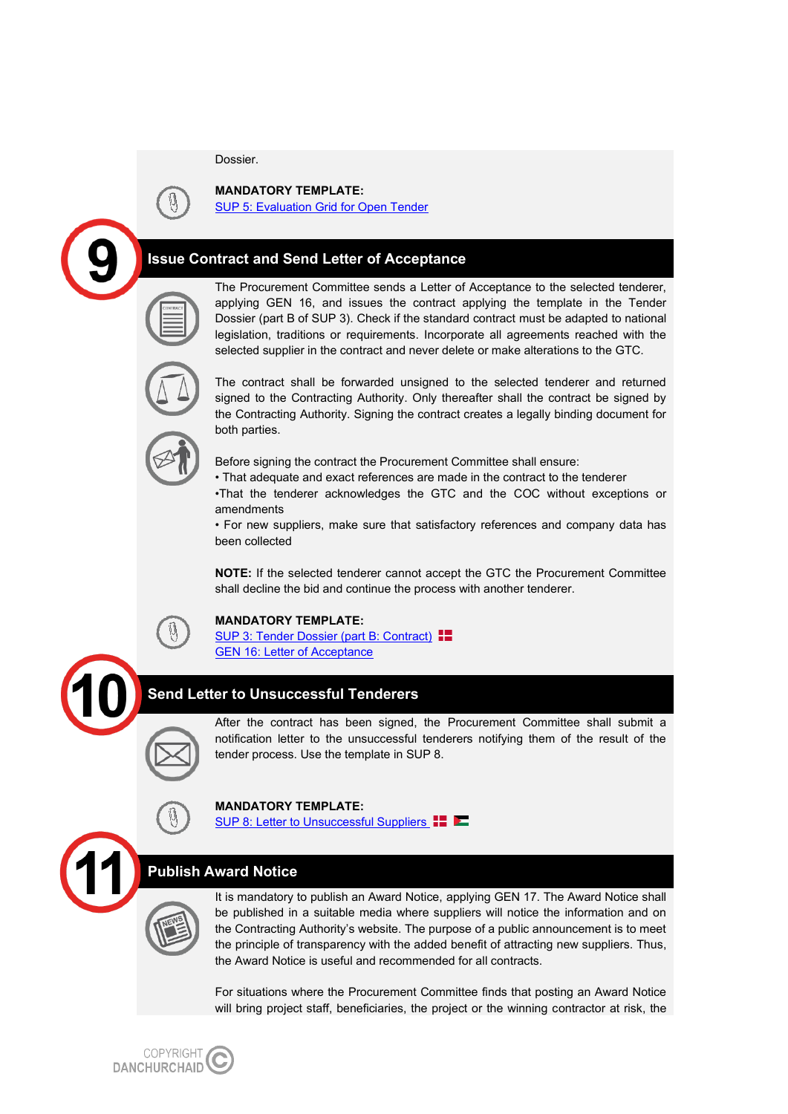Dossier.



**MANDATORY TEMPLATE:**  [SUP 5: Evaluation Grid for Open Tender](https://www.noedhjaelp.dk/wp-content/uploads/sites/2/2021/11/sup-5-evaluation-grid-open-tender-jan2020.xlsx)

## **Issue Contract and Send Letter of Acceptance**

The Procurement Committee sends a Letter of Acceptance to the selected tenderer, applying GEN 16, and issues the contract applying the template in the Tender Dossier (part B of SUP 3). Check if the standard contract must be adapted to national legislation, traditions or requirements. Incorporate all agreements reached with the selected supplier in the contract and never delete or make alterations to the GTC.





The contract shall be forwarded unsigned to the selected tenderer and returned signed to the Contracting Authority. Only thereafter shall the contract be signed by the Contracting Authority. Signing the contract creates a legally binding document for both parties.

Before signing the contract the Procurement Committee shall ensure:

• That adequate and exact references are made in the contract to the tenderer

•That the tenderer acknowledges the GTC and the COC without exceptions or amendments

• For new suppliers, make sure that satisfactory references and company data has been collected

**NOTE:** If the selected tenderer cannot accept the GTC the Procurement Committee shall decline the bid and continue the process with another tenderer.

### **MANDATORY TEMPLATE:**

[SUP 3: Tender Dossier \(part B: Contract\)](https://www.noedhjaelp.dk/wp-content/uploads/sites/2/2021/11/sup-3-tender-dossier-july2021.doc)  $\blacksquare$ [GEN 16: Letter of Acceptance](https://www.noedhjaelp.dk/wp-content/uploads/sites/2/2021/11/gen-16-letter-of-acceptance-jan2020.docx)

## **Send Letter to Unsuccessful Tenderers**

After the contract has been signed, the Procurement Committee shall submit a notification letter to the unsuccessful tenderers notifying them of the result of the tender process. Use the template in SUP 8.



[SUP 8: Letter to Unsuccessful Suppliers](https://www.noedhjaelp.dk/wp-content/uploads/sites/2/2021/11/sup-8-letter-to-unsuccessful-suppliers-jan2020.doc)**ID** 

## **Publish Award Notice**

It is mandatory to publish an Award Notice, applying GEN 17. The Award Notice shall be published in a suitable media where suppliers will notice the information and on the Contracting Authority's website. The purpose of a public announcement is to meet the principle of transparency with the added benefit of attracting new suppliers. Thus, the Award Notice is useful and recommended for all contracts.

For situations where the Procurement Committee finds that posting an Award Notice will bring project staff, beneficiaries, the project or the winning contractor at risk, the